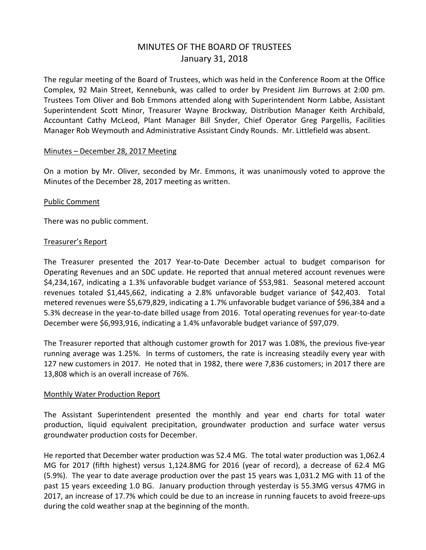# MINUTES OF THE BOARD OF TRUSTEES January 31, 2018

The regular meeting of the Board of Trustees, which was held in the Conference Room at the Office Complex, 92 Main Street, Kennebunk, was called to order by President Jim Burrows at 2:00 pm. Trustees Tom Oliver and Bob Emmons attended along with Superintendent Norm Labbe, Assistant Superintendent Scott Minor, Treasurer Wayne Brockway, Distribution Manager Keith Archibald, Accountant Cathy McLeod, Plant Manager Bill Snyder, Chief Operator Greg Pargellis, Facilities Manager Rob Weymouth and Administrative Assistant Cindy Rounds. Mr. Littlefield was absent.

#### Minutes – December 28, 2017 Meeting

On a motion by Mr. Oliver, seconded by Mr. Emmons, it was unanimously voted to approve the Minutes of the December 28, 2017 meeting as written.

#### Public Comment

There was no public comment.

#### Treasurer's Report

The Treasurer presented the 2017 Year-to-Date December actual to budget comparison for Operating Revenues and an SDC update. He reported that annual metered account revenues were \$4,234,167, indicating a 1.3% unfavorable budget variance of \$53,981. Seasonal metered account revenues totaled \$1,445,662, indicating a 2.8% unfavorable budget variance of \$42,403. Total metered revenues were \$5,679,829, indicating a 1.7% unfavorable budget variance of \$96,384 and a 5.3% decrease in the year-to-date billed usage from 2016. Total operating revenues for year-to-date December were \$6,993,916, indicating a 1.4% unfavorable budget variance of \$97,079.

The Treasurer reported that although customer growth for 2017 was 1.08%, the previous five-year running average was 1.25%. In terms of customers, the rate is increasing steadily every year with 127 new customers in 2017. He noted that in 1982, there were 7,836 customers; in 2017 there are 13,808 which is an overall increase of 76%.

#### Monthly Water Production Report

The Assistant Superintendent presented the monthly and year end charts for total water production, liquid equivalent precipitation, groundwater production and surface water versus groundwater production costs for December.

He reported that December water production was 52.4 MG. The total water production was 1,062.4 MG for 2017 (fifth highest) versus 1,124.8MG for 2016 (year of record), a decrease of 62.4 MG (5.9%). The year to date average production over the past 15 years was 1,031.2 MG with 11 of the past 15 years exceeding 1.0 BG. January production through yesterday is 55.3MG versus 47MG in 2017, an increase of 17.7% which could be due to an increase in running faucets to avoid freeze-ups during the cold weather snap at the beginning of the month.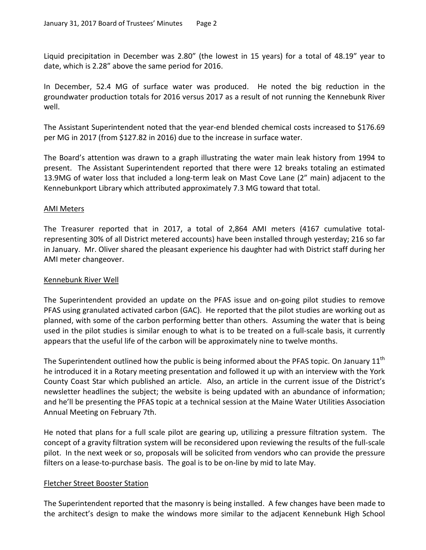Liquid precipitation in December was 2.80" (the lowest in 15 years) for a total of 48.19" year to date, which is 2.28" above the same period for 2016.

In December, 52.4 MG of surface water was produced. He noted the big reduction in the groundwater production totals for 2016 versus 2017 as a result of not running the Kennebunk River well.

The Assistant Superintendent noted that the year-end blended chemical costs increased to \$176.69 per MG in 2017 (from \$127.82 in 2016) due to the increase in surface water.

The Board's attention was drawn to a graph illustrating the water main leak history from 1994 to present. The Assistant Superintendent reported that there were 12 breaks totaling an estimated 13.9MG of water loss that included a long-term leak on Mast Cove Lane (2" main) adjacent to the Kennebunkport Library which attributed approximately 7.3 MG toward that total.

# AMI Meters

The Treasurer reported that in 2017, a total of 2,864 AMI meters (4167 cumulative totalrepresenting 30% of all District metered accounts) have been installed through yesterday; 216 so far in January. Mr. Oliver shared the pleasant experience his daughter had with District staff during her AMI meter changeover.

# Kennebunk River Well

The Superintendent provided an update on the PFAS issue and on-going pilot studies to remove PFAS using granulated activated carbon (GAC). He reported that the pilot studies are working out as planned, with some of the carbon performing better than others. Assuming the water that is being used in the pilot studies is similar enough to what is to be treated on a full-scale basis, it currently appears that the useful life of the carbon will be approximately nine to twelve months.

The Superintendent outlined how the public is being informed about the PFAS topic. On January  $11^{\text{th}}$ he introduced it in a Rotary meeting presentation and followed it up with an interview with the York County Coast Star which published an article. Also, an article in the current issue of the District's newsletter headlines the subject; the website is being updated with an abundance of information; and he'll be presenting the PFAS topic at a technical session at the Maine Water Utilities Association Annual Meeting on February 7th.

He noted that plans for a full scale pilot are gearing up, utilizing a pressure filtration system. The concept of a gravity filtration system will be reconsidered upon reviewing the results of the full-scale pilot. In the next week or so, proposals will be solicited from vendors who can provide the pressure filters on a lease-to-purchase basis. The goal is to be on-line by mid to late May.

# Fletcher Street Booster Station

The Superintendent reported that the masonry is being installed. A few changes have been made to the architect's design to make the windows more similar to the adjacent Kennebunk High School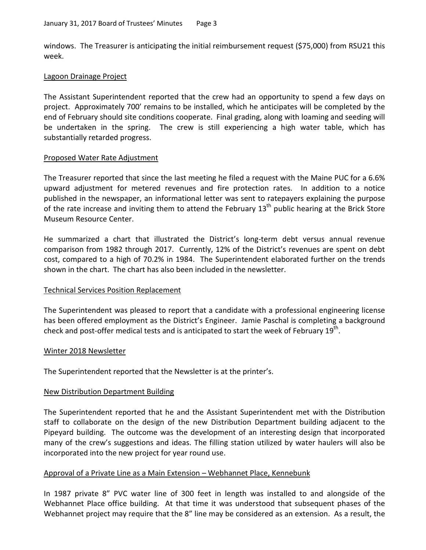windows. The Treasurer is anticipating the initial reimbursement request (\$75,000) from RSU21 this week.

# Lagoon Drainage Project

The Assistant Superintendent reported that the crew had an opportunity to spend a few days on project. Approximately 700' remains to be installed, which he anticipates will be completed by the end of February should site conditions cooperate. Final grading, along with loaming and seeding will be undertaken in the spring. The crew is still experiencing a high water table, which has substantially retarded progress.

# Proposed Water Rate Adjustment

The Treasurer reported that since the last meeting he filed a request with the Maine PUC for a 6.6% upward adjustment for metered revenues and fire protection rates. In addition to a notice published in the newspaper, an informational letter was sent to ratepayers explaining the purpose of the rate increase and inviting them to attend the February  $13<sup>th</sup>$  public hearing at the Brick Store Museum Resource Center.

He summarized a chart that illustrated the District's long-term debt versus annual revenue comparison from 1982 through 2017. Currently, 12% of the District's revenues are spent on debt cost, compared to a high of 70.2% in 1984. The Superintendent elaborated further on the trends shown in the chart. The chart has also been included in the newsletter.

# Technical Services Position Replacement

The Superintendent was pleased to report that a candidate with a professional engineering license has been offered employment as the District's Engineer. Jamie Paschal is completing a background check and post-offer medical tests and is anticipated to start the week of February  $19^{th}$ .

#### Winter 2018 Newsletter

The Superintendent reported that the Newsletter is at the printer's.

# New Distribution Department Building

The Superintendent reported that he and the Assistant Superintendent met with the Distribution staff to collaborate on the design of the new Distribution Department building adjacent to the Pipeyard building. The outcome was the development of an interesting design that incorporated many of the crew's suggestions and ideas. The filling station utilized by water haulers will also be incorporated into the new project for year round use.

# Approval of a Private Line as a Main Extension – Webhannet Place, Kennebunk

In 1987 private 8" PVC water line of 300 feet in length was installed to and alongside of the Webhannet Place office building. At that time it was understood that subsequent phases of the Webhannet project may require that the 8" line may be considered as an extension. As a result, the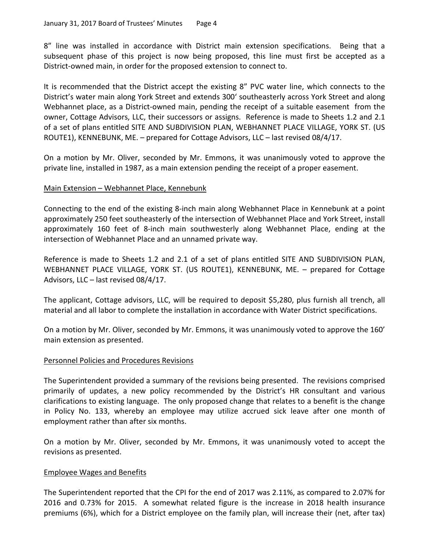8" line was installed in accordance with District main extension specifications. Being that a subsequent phase of this project is now being proposed, this line must first be accepted as a District-owned main, in order for the proposed extension to connect to.

It is recommended that the District accept the existing 8" PVC water line, which connects to the District's water main along York Street and extends 300' southeasterly across York Street and along Webhannet place, as a District-owned main, pending the receipt of a suitable easement from the owner, Cottage Advisors, LLC, their successors or assigns. Reference is made to Sheets 1.2 and 2.1 of a set of plans entitled SITE AND SUBDIVISION PLAN, WEBHANNET PLACE VILLAGE, YORK ST. (US ROUTE1), KENNEBUNK, ME. – prepared for Cottage Advisors, LLC – last revised 08/4/17.

On a motion by Mr. Oliver, seconded by Mr. Emmons, it was unanimously voted to approve the private line, installed in 1987, as a main extension pending the receipt of a proper easement.

# Main Extension – Webhannet Place, Kennebunk

Connecting to the end of the existing 8-inch main along Webhannet Place in Kennebunk at a point approximately 250 feet southeasterly of the intersection of Webhannet Place and York Street, install approximately 160 feet of 8-inch main southwesterly along Webhannet Place, ending at the intersection of Webhannet Place and an unnamed private way.

Reference is made to Sheets 1.2 and 2.1 of a set of plans entitled SITE AND SUBDIVISION PLAN, WEBHANNET PLACE VILLAGE, YORK ST. (US ROUTE1), KENNEBUNK, ME. – prepared for Cottage Advisors, LLC – last revised 08/4/17.

The applicant, Cottage advisors, LLC, will be required to deposit \$5,280, plus furnish all trench, all material and all labor to complete the installation in accordance with Water District specifications.

On a motion by Mr. Oliver, seconded by Mr. Emmons, it was unanimously voted to approve the 160' main extension as presented.

# Personnel Policies and Procedures Revisions

The Superintendent provided a summary of the revisions being presented. The revisions comprised primarily of updates, a new policy recommended by the District's HR consultant and various clarifications to existing language. The only proposed change that relates to a benefit is the change in Policy No. 133, whereby an employee may utilize accrued sick leave after one month of employment rather than after six months.

On a motion by Mr. Oliver, seconded by Mr. Emmons, it was unanimously voted to accept the revisions as presented.

# Employee Wages and Benefits

The Superintendent reported that the CPI for the end of 2017 was 2.11%, as compared to 2.07% for 2016 and 0.73% for 2015. A somewhat related figure is the increase in 2018 health insurance premiums (6%), which for a District employee on the family plan, will increase their (net, after tax)